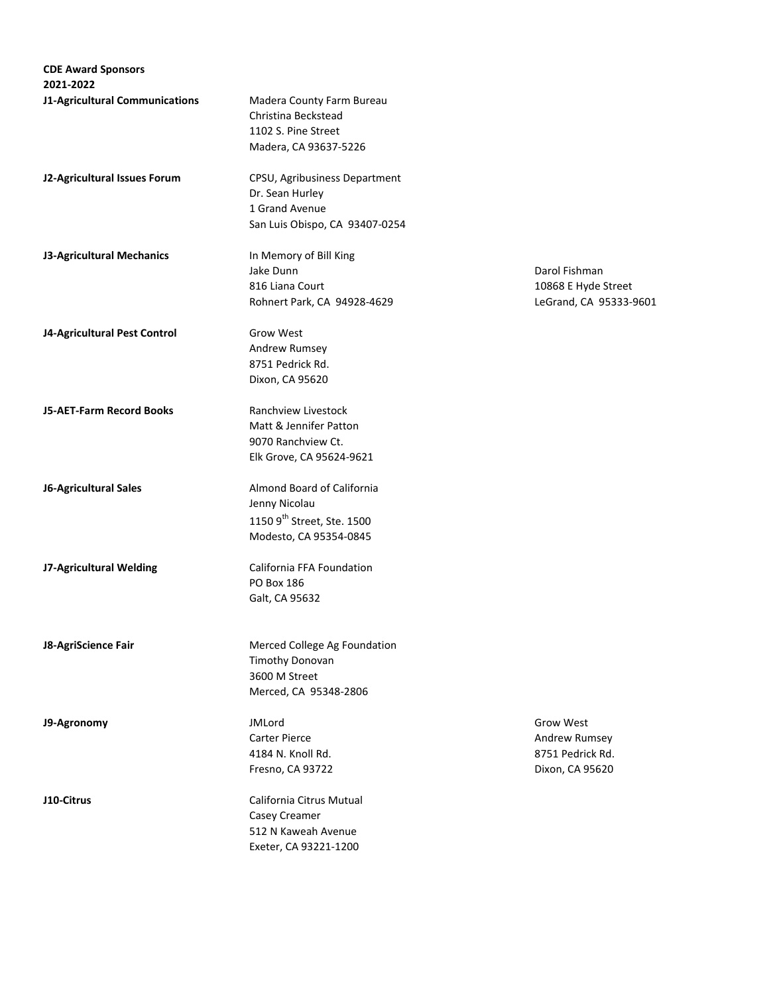| <b>CDE Award Sponsors</b>      |                           |
|--------------------------------|---------------------------|
| 2021-2022                      |                           |
| J1-Agricultural Communications | Madera County Farm Bureau |

**J2-Agricultural Issues Forum** CPSU, Agribusiness Department Dr. Sean Hurley 1 Grand Avenue San Luis Obispo, CA 93407-0254

Christina Beckstead 1102 S. Pine Street Madera, CA 93637-5226

**J3-Agricultural Mechanics** In Memory of Bill King

**J4-Agricultural Pest Control Grow West** 

Andrew Rumsey 8751 Pedrick Rd. Dixon, CA 95620

**J5-AET-Farm Record Books** Ranchview Livestock Matt & Jennifer Patton 9070 Ranchview Ct. Elk Grove, CA 95624-9621

**J6-Agricultural Sales Almond Board of California** Jenny Nicolau 1150  $9^{\text{th}}$  Street, Ste. 1500 Modesto, CA 95354-0845

**J7-Agricultural Welding** California FFA Foundation PO Box 186 Galt, CA 95632

**J8-AgriScience Fair** Merced College Ag Foundation

Timothy Donovan 3600 M Street Merced, CA 95348-2806

Carter Pierce **Andrew Rumsey Andrew Rumsey** 4184 N. Knoll Rd. 8751 Pedrick Rd. Fresno, CA 93722 Dixon, CA 95620

**J10-Citrus** California Citrus Mutual Casey Creamer 512 N Kaweah Avenue Exeter, CA 93221-1200

Jake Dunn Darol Fishman 816 Liana Court 2008 and 2008 E Hyde Street Rohnert Park, CA 94928-4629 LeGrand, CA 95333-9601

**J9-Agronomy State Grow West State Control of MC** JMLord **Grow West** Grow West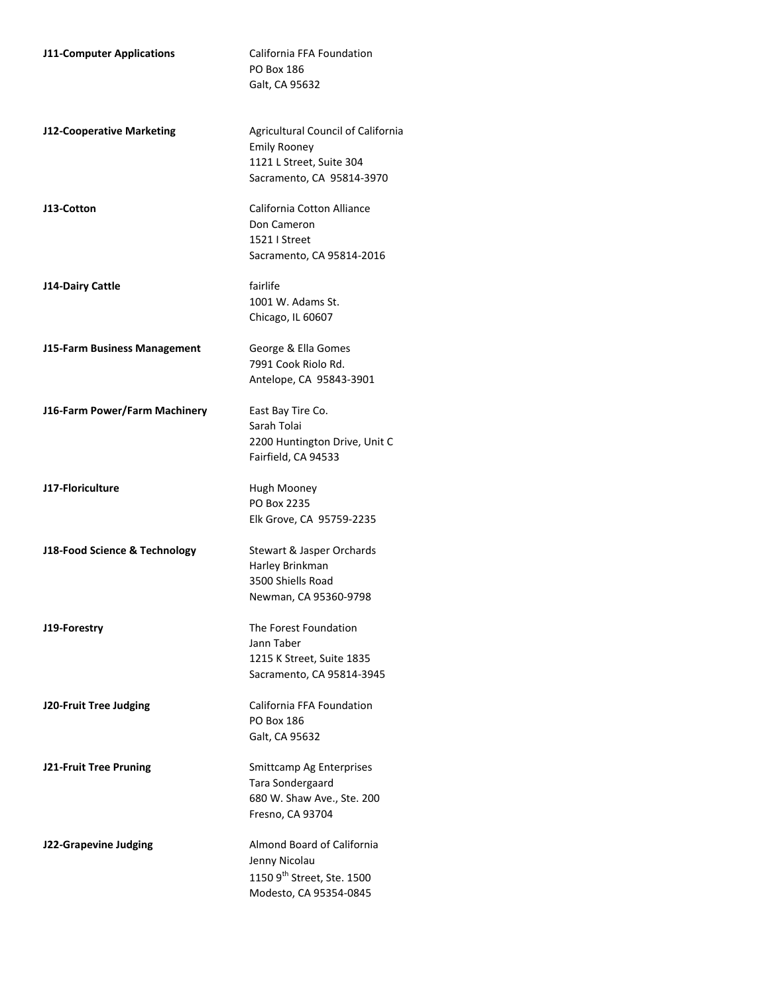| <b>J11-Computer Applications</b> | California FFA Foundation<br><b>PO Box 186</b><br>Galt, CA 95632                                                   |
|----------------------------------|--------------------------------------------------------------------------------------------------------------------|
| J12-Cooperative Marketing        | Agricultural Council of California<br><b>Emily Rooney</b><br>1121 L Street, Suite 304<br>Sacramento, CA 95814-3970 |
| J13-Cotton                       | California Cotton Alliance<br>Don Cameron<br>1521   Street<br>Sacramento, CA 95814-2016                            |
| J14-Dairy Cattle                 | fairlife<br>1001 W. Adams St.<br>Chicago, IL 60607                                                                 |
| J15-Farm Business Management     | George & Ella Gomes<br>7991 Cook Riolo Rd.<br>Antelope, CA 95843-3901                                              |
| J16-Farm Power/Farm Machinery    | East Bay Tire Co.<br>Sarah Tolai<br>2200 Huntington Drive, Unit C<br>Fairfield, CA 94533                           |
| J17-Floriculture                 | Hugh Mooney<br>PO Box 2235<br>Elk Grove, CA 95759-2235                                                             |
| J18-Food Science & Technology    | Stewart & Jasper Orchards<br>Harley Brinkman<br>3500 Shiells Road<br>Newman, CA 95360-9798                         |
| J19-Forestry                     | The Forest Foundation<br>Jann Taber<br>1215 K Street, Suite 1835<br>Sacramento, CA 95814-3945                      |
| J20-Fruit Tree Judging           | California FFA Foundation<br>PO Box 186<br>Galt, CA 95632                                                          |
| <b>J21-Fruit Tree Pruning</b>    | Smittcamp Ag Enterprises<br>Tara Sondergaard<br>680 W. Shaw Ave., Ste. 200<br>Fresno, CA 93704                     |
| J22-Grapevine Judging            | Almond Board of California<br>Jenny Nicolau<br>1150 9 <sup>th</sup> Street, Ste. 1500<br>Modesto, CA 95354-0845    |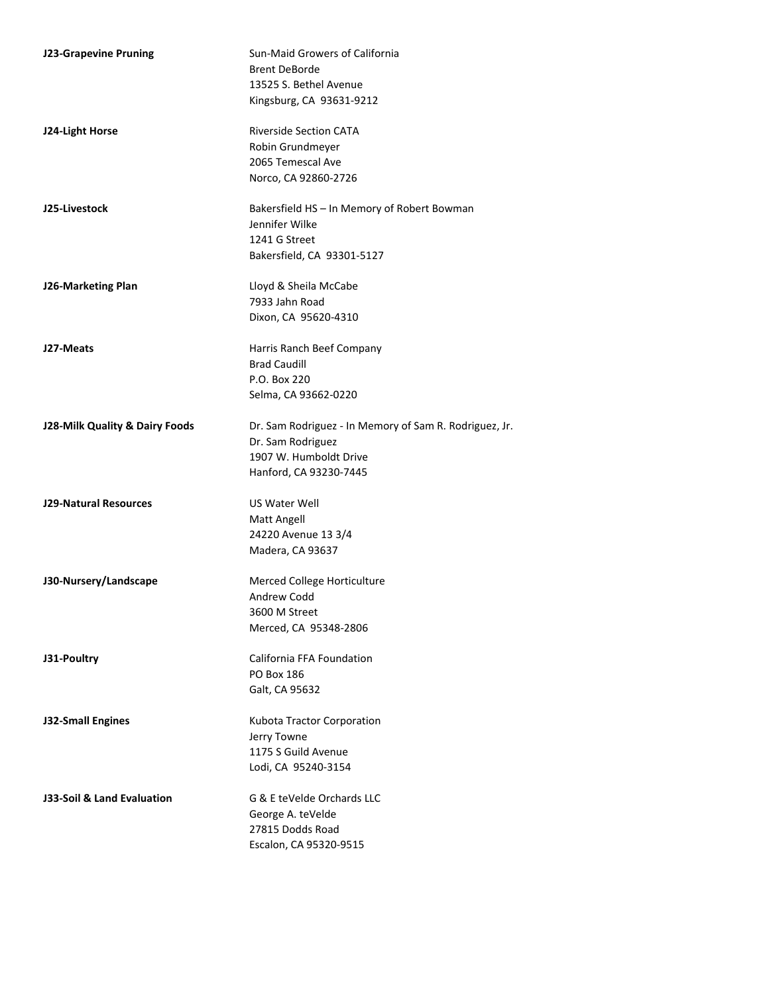| <b>J23-Grapevine Pruning</b>   | Sun-Maid Growers of California                         |
|--------------------------------|--------------------------------------------------------|
|                                | <b>Brent DeBorde</b>                                   |
|                                | 13525 S. Bethel Avenue                                 |
|                                | Kingsburg, CA 93631-9212                               |
| J24-Light Horse                | <b>Riverside Section CATA</b>                          |
|                                | Robin Grundmeyer                                       |
|                                | 2065 Temescal Ave                                      |
|                                | Norco, CA 92860-2726                                   |
| J25-Livestock                  | Bakersfield HS - In Memory of Robert Bowman            |
|                                | Jennifer Wilke                                         |
|                                | 1241 G Street                                          |
|                                | Bakersfield, CA 93301-5127                             |
| J26-Marketing Plan             | Lloyd & Sheila McCabe                                  |
|                                | 7933 Jahn Road                                         |
|                                | Dixon, CA 95620-4310                                   |
| J27-Meats                      | Harris Ranch Beef Company                              |
|                                | <b>Brad Caudill</b>                                    |
|                                | P.O. Box 220                                           |
|                                | Selma, CA 93662-0220                                   |
| J28-Milk Quality & Dairy Foods | Dr. Sam Rodriguez - In Memory of Sam R. Rodriguez, Jr. |
|                                | Dr. Sam Rodriguez                                      |
|                                | 1907 W. Humboldt Drive                                 |
|                                | Hanford, CA 93230-7445                                 |
| <b>J29-Natural Resources</b>   | US Water Well<br>Matt Angell                           |
|                                | 24220 Avenue 13 3/4                                    |
|                                | Madera, CA 93637                                       |
|                                |                                                        |
| J30-Nursery/Landscape          | Merced College Horticulture                            |
|                                | Andrew Codd                                            |
|                                | 3600 M Street                                          |
|                                | Merced, CA 95348-2806                                  |
| J31-Poultry                    | California FFA Foundation                              |
|                                | PO Box 186                                             |
|                                | Galt, CA 95632                                         |
| <b>J32-Small Engines</b>       | Kubota Tractor Corporation                             |
|                                | Jerry Towne                                            |
|                                | 1175 S Guild Avenue                                    |
|                                | Lodi, CA 95240-3154                                    |
| J33-Soil & Land Evaluation     | G & E teVelde Orchards LLC                             |
|                                | George A. teVelde                                      |
|                                | 27815 Dodds Road                                       |
|                                | Escalon, CA 95320-9515                                 |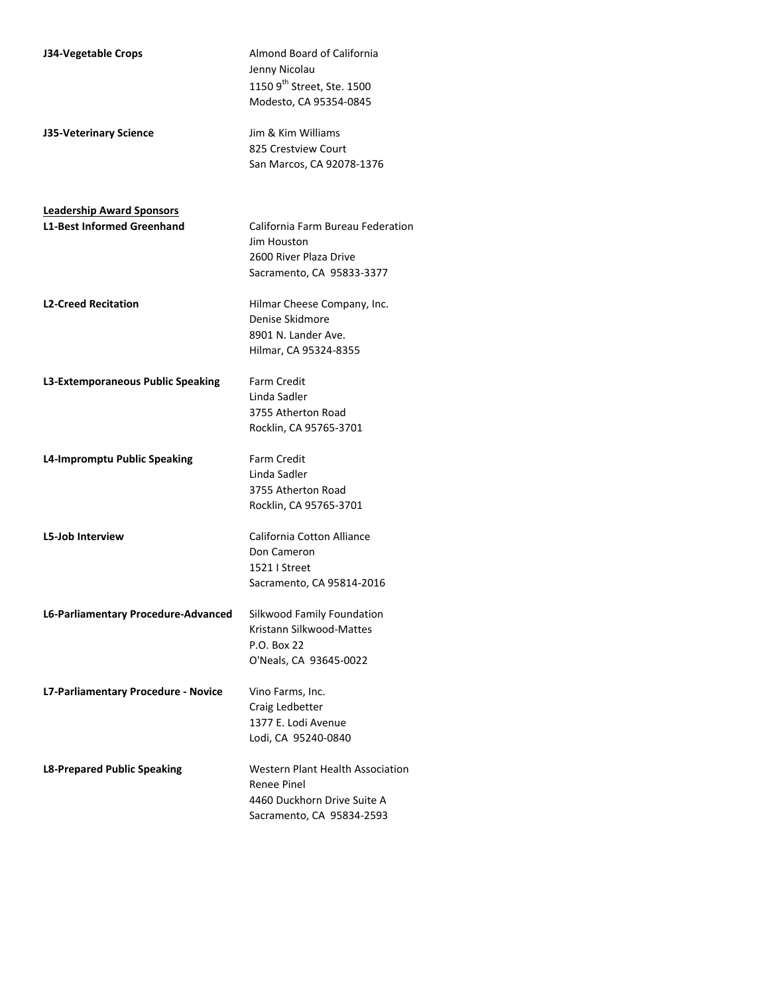| J34-Vegetable Crops                 | Almond Board of California<br>Jenny Nicolau<br>1150 9 <sup>th</sup> Street, Ste. 1500<br>Modesto, CA 95354-0845 |
|-------------------------------------|-----------------------------------------------------------------------------------------------------------------|
| J35-Veterinary Science              | Jim & Kim Williams<br>825 Crestview Court<br>San Marcos, CA 92078-1376                                          |
| <b>Leadership Award Sponsors</b>    |                                                                                                                 |
| <b>L1-Best Informed Greenhand</b>   | California Farm Bureau Federation<br>Jim Houston<br>2600 River Plaza Drive<br>Sacramento, CA 95833-3377         |
| <b>L2-Creed Recitation</b>          | Hilmar Cheese Company, Inc.<br>Denise Skidmore<br>8901 N. Lander Ave.<br>Hilmar, CA 95324-8355                  |
| L3-Extemporaneous Public Speaking   | <b>Farm Credit</b><br>Linda Sadler<br>3755 Atherton Road<br>Rocklin, CA 95765-3701                              |
| L4-Impromptu Public Speaking        | <b>Farm Credit</b><br>Linda Sadler<br>3755 Atherton Road<br>Rocklin, CA 95765-3701                              |
| <b>L5-Job Interview</b>             | California Cotton Alliance<br>Don Cameron<br>1521   Street<br>Sacramento, CA 95814-2016                         |
| L6-Parliamentary Procedure-Advanced | Silkwood Family Foundation<br>Kristann Silkwood-Mattes<br>P.O. Box 22<br>O'Neals, CA 93645-0022                 |
| L7-Parliamentary Procedure - Novice | Vino Farms, Inc.<br>Craig Ledbetter<br>1377 E. Lodi Avenue<br>Lodi, CA 95240-0840                               |
| <b>L8-Prepared Public Speaking</b>  | Western Plant Health Association<br>Renee Pinel<br>4460 Duckhorn Drive Suite A<br>Sacramento, CA 95834-2593     |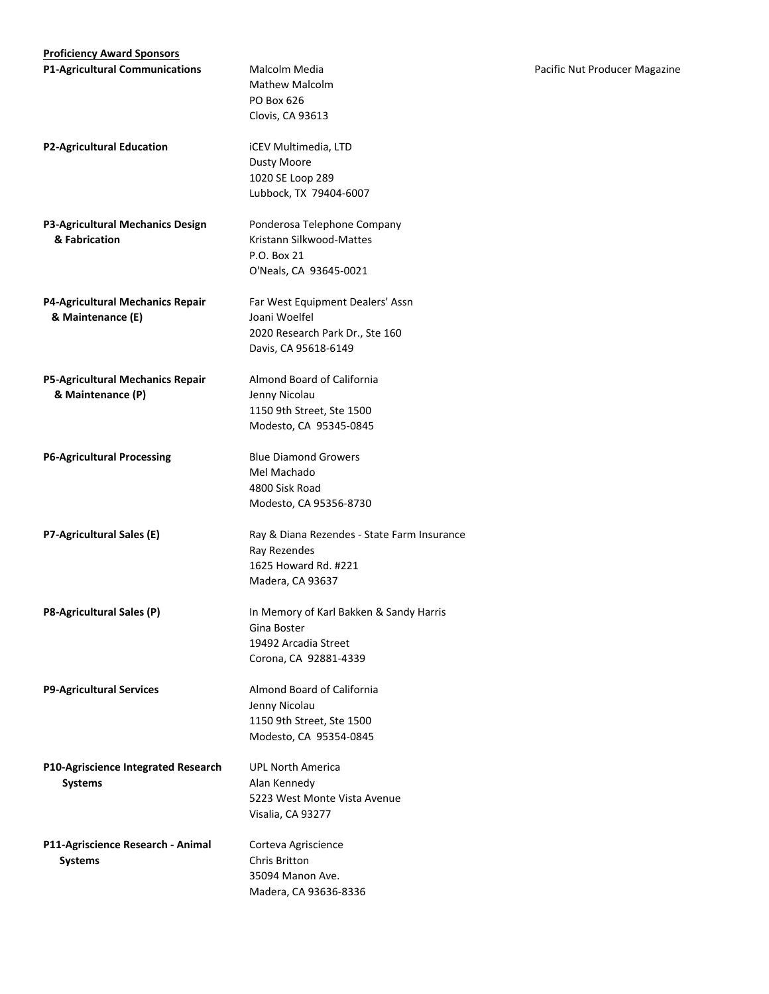| <b>Proficiency Award Sponsors</b>       |                                             |
|-----------------------------------------|---------------------------------------------|
| <b>P1-Agricultural Communications</b>   | Malcolm Media                               |
|                                         | Mathew Malcolm                              |
|                                         | PO Box 626                                  |
|                                         | <b>Clovis, CA 93613</b>                     |
|                                         |                                             |
| <b>P2-Agricultural Education</b>        | iCEV Multimedia, LTD                        |
|                                         | <b>Dusty Moore</b>                          |
|                                         | 1020 SE Loop 289                            |
|                                         | Lubbock, TX 79404-6007                      |
|                                         |                                             |
| P3-Agricultural Mechanics Design        | Ponderosa Telephone Company                 |
| & Fabrication                           | Kristann Silkwood-Mattes                    |
|                                         | P.O. Box 21                                 |
|                                         | O'Neals, CA 93645-0021                      |
| P4-Agricultural Mechanics Repair        | Far West Equipment Dealers' Assn            |
| & Maintenance (E)                       | Joani Woelfel                               |
|                                         | 2020 Research Park Dr., Ste 160             |
|                                         | Davis, CA 95618-6149                        |
| <b>P5-Agricultural Mechanics Repair</b> | Almond Board of California                  |
| & Maintenance (P)                       | Jenny Nicolau                               |
|                                         | 1150 9th Street, Ste 1500                   |
|                                         | Modesto, CA 95345-0845                      |
|                                         |                                             |
| <b>P6-Agricultural Processing</b>       | <b>Blue Diamond Growers</b>                 |
|                                         | Mel Machado                                 |
|                                         | 4800 Sisk Road                              |
|                                         | Modesto, CA 95356-8730                      |
| P7-Agricultural Sales (E)               | Ray & Diana Rezendes - State Farm Insurance |
|                                         | Ray Rezendes                                |
|                                         | 1625 Howard Rd. #221                        |
|                                         | Madera, CA 93637                            |
|                                         |                                             |
| P8-Agricultural Sales (P)               | In Memory of Karl Bakken & Sandy Harris     |
|                                         | Gina Boster                                 |
|                                         | 19492 Arcadia Street                        |
|                                         | Corona, CA 92881-4339                       |
| <b>P9-Agricultural Services</b>         | Almond Board of California                  |
|                                         | Jenny Nicolau                               |
|                                         | 1150 9th Street, Ste 1500                   |
|                                         | Modesto, CA 95354-0845                      |
|                                         |                                             |
| P10-Agriscience Integrated Research     | <b>UPL North America</b>                    |
| <b>Systems</b>                          | Alan Kennedy                                |
|                                         | 5223 West Monte Vista Avenue                |
|                                         | Visalia, CA 93277                           |
| P11-Agriscience Research - Animal       | Corteva Agriscience                         |
| <b>Systems</b>                          | Chris Britton                               |
|                                         | 35094 Manon Ave.                            |
|                                         |                                             |

Madera, CA 93636-8336

Pacific Nut Producer Magazine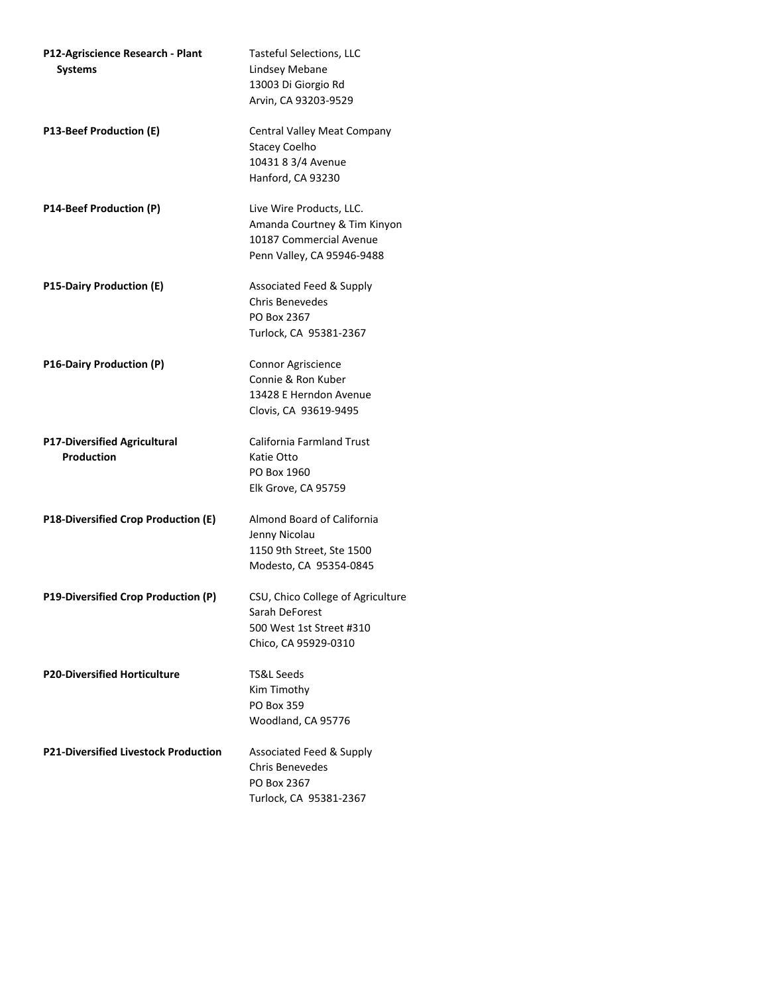| P12-Agriscience Research - Plant<br><b>Systems</b>       | <b>Tasteful Selections, LLC</b><br>Lindsey Mebane<br>13003 Di Giorgio Rd<br>Arvin, CA 93203-9529                  |
|----------------------------------------------------------|-------------------------------------------------------------------------------------------------------------------|
| P13-Beef Production (E)                                  | Central Valley Meat Company<br><b>Stacey Coelho</b><br>10431 8 3/4 Avenue<br>Hanford, CA 93230                    |
| P14-Beef Production (P)                                  | Live Wire Products, LLC.<br>Amanda Courtney & Tim Kinyon<br>10187 Commercial Avenue<br>Penn Valley, CA 95946-9488 |
| <b>P15-Dairy Production (E)</b>                          | Associated Feed & Supply<br><b>Chris Benevedes</b><br>PO Box 2367<br>Turlock, CA 95381-2367                       |
| P16-Dairy Production (P)                                 | Connor Agriscience<br>Connie & Ron Kuber<br>13428 E Herndon Avenue<br>Clovis, CA 93619-9495                       |
| <b>P17-Diversified Agricultural</b><br><b>Production</b> | <b>California Farmland Trust</b><br>Katie Otto<br>PO Box 1960<br>Elk Grove, CA 95759                              |
| P18-Diversified Crop Production (E)                      | Almond Board of California<br>Jenny Nicolau<br>1150 9th Street, Ste 1500<br>Modesto, CA 95354-0845                |
| P19-Diversified Crop Production (P)                      | CSU, Chico College of Agriculture<br>Sarah DeForest<br>500 West 1st Street #310<br>Chico, CA 95929-0310           |
| <b>P20-Diversified Horticulture</b>                      | TS&L Seeds<br>Kim Timothy<br><b>PO Box 359</b><br>Woodland, CA 95776                                              |
| <b>P21-Diversified Livestock Production</b>              | Associated Feed & Supply<br><b>Chris Benevedes</b><br>PO Box 2367<br>Turlock, CA 95381-2367                       |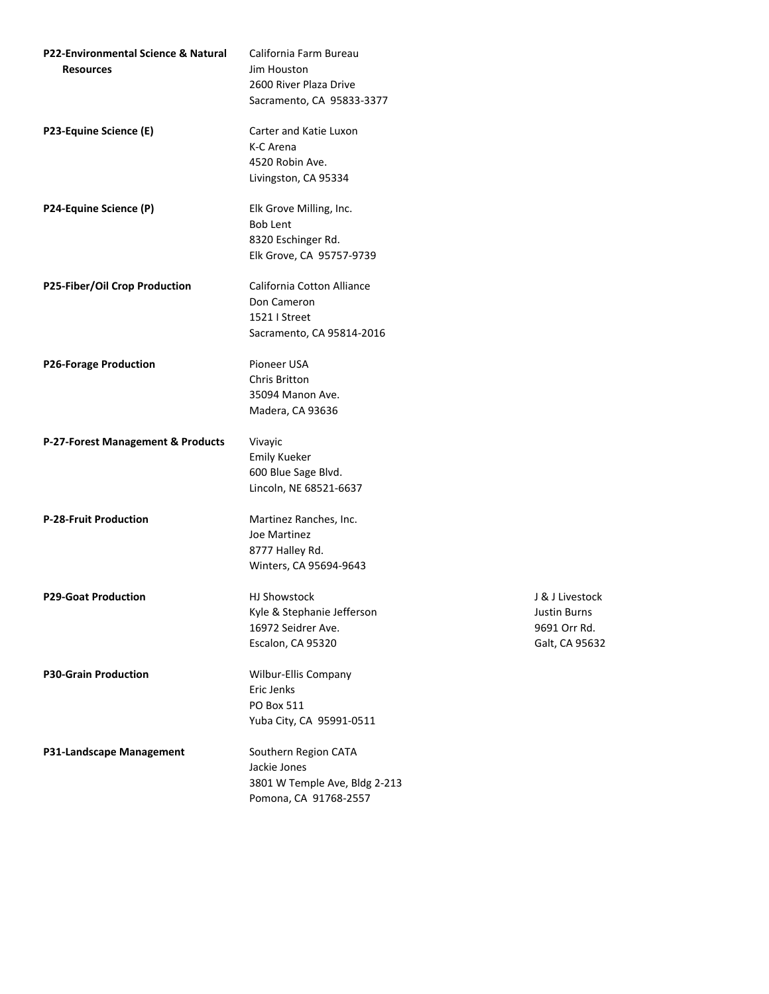| P22-Environmental Science & Natural | California Farm Bureau                                 |
|-------------------------------------|--------------------------------------------------------|
| <b>Resources</b>                    | Jim Houston                                            |
|                                     | 2600 River Plaza Drive                                 |
|                                     | Sacramento, CA 95833-3377                              |
| P23-Equine Science (E)              | Carter and Katie Luxon                                 |
|                                     | K-C Arena                                              |
|                                     | 4520 Robin Ave.                                        |
|                                     | Livingston, CA 95334                                   |
| P24-Equine Science (P)              | Elk Grove Milling, Inc.                                |
|                                     | <b>Bob Lent</b>                                        |
|                                     | 8320 Eschinger Rd.                                     |
|                                     | Elk Grove, CA 95757-9739                               |
| P25-Fiber/Oil Crop Production       | California Cotton Alliance                             |
|                                     | Don Cameron                                            |
|                                     | 1521   Street                                          |
|                                     | Sacramento, CA 95814-2016                              |
| <b>P26-Forage Production</b>        | Pioneer USA                                            |
|                                     | Chris Britton                                          |
|                                     | 35094 Manon Ave.                                       |
|                                     | Madera, CA 93636                                       |
|                                     |                                                        |
| P-27-Forest Management & Products   | Vivayic                                                |
|                                     | <b>Emily Kueker</b>                                    |
|                                     | 600 Blue Sage Blvd.                                    |
|                                     | Lincoln, NE 68521-6637                                 |
| <b>P-28-Fruit Production</b>        | Martinez Ranches, Inc.                                 |
|                                     | Joe Martinez                                           |
|                                     | 8777 Halley Rd.                                        |
|                                     | Winters, CA 95694-9643                                 |
| <b>P29-Goat Production</b>          | <b>HJ Showstock</b>                                    |
|                                     | Kyle & Stephanie Jefferson                             |
|                                     | 16972 Seidrer Ave.                                     |
|                                     | Escalon, CA 95320                                      |
| <b>P30-Grain Production</b>         | Wilbur-Ellis Company                                   |
|                                     | Eric Jenks                                             |
|                                     | <b>PO Box 511</b>                                      |
|                                     | Yuba City, CA 95991-0511                               |
| P31-Landscape Management            | Southern Region CATA                                   |
|                                     | Jackie Jones                                           |
|                                     | 3801 W Temple Ave, Bldg 2-213<br>Pomona, CA 91768-2557 |

**J** & J Livestock Justin Burns 9691 Orr Rd. Galt, CA 95632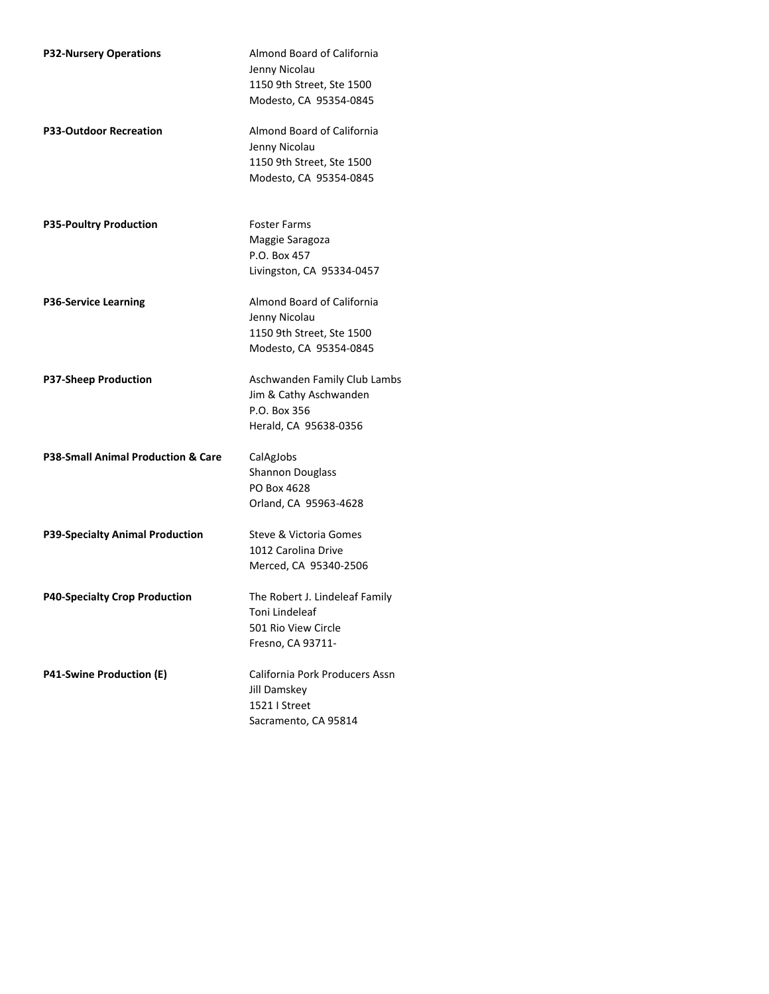| <b>P32-Nursery Operations</b>          | Almond Board of California<br>Jenny Nicolau<br>1150 9th Street, Ste 1500<br>Modesto, CA 95354-0845 |
|----------------------------------------|----------------------------------------------------------------------------------------------------|
| <b>P33-Outdoor Recreation</b>          | Almond Board of California<br>Jenny Nicolau<br>1150 9th Street, Ste 1500<br>Modesto, CA 95354-0845 |
| <b>P35-Poultry Production</b>          | <b>Foster Farms</b><br>Maggie Saragoza<br>P.O. Box 457<br>Livingston, CA 95334-0457                |
| <b>P36-Service Learning</b>            | Almond Board of California<br>Jenny Nicolau<br>1150 9th Street, Ste 1500<br>Modesto, CA 95354-0845 |
| <b>P37-Sheep Production</b>            | Aschwanden Family Club Lambs<br>Jim & Cathy Aschwanden<br>P.O. Box 356<br>Herald, CA 95638-0356    |
| P38-Small Animal Production & Care     | CalAgJobs<br><b>Shannon Douglass</b><br>PO Box 4628<br>Orland, CA 95963-4628                       |
| <b>P39-Specialty Animal Production</b> | Steve & Victoria Gomes<br>1012 Carolina Drive<br>Merced, CA 95340-2506                             |
| <b>P40-Specialty Crop Production</b>   | The Robert J. Lindeleaf Family<br>Toni Lindeleaf<br>501 Rio View Circle<br>Fresno, CA 93711-       |
| <b>P41-Swine Production (E)</b>        | California Pork Producers Assn<br>Jill Damskey<br>1521   Street<br>Sacramento, CA 95814            |